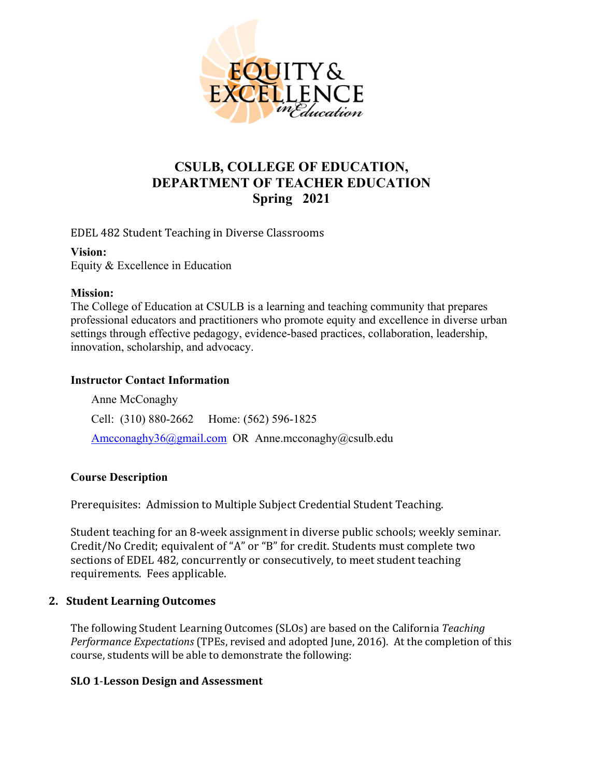

# **CSULB, COLLEGE OF EDUCATION, DEPARTMENT OF TEACHER EDUCATION Spring 2021**

EDEL 482 Student Teaching in Diverse Classrooms

**Vision:** 

Equity & Excellence in Education

#### **Mission:**

The College of Education at CSULB is a learning and teaching community that prepares professional educators and practitioners who promote equity and excellence in diverse urban settings through effective pedagogy, evidence-based practices, collaboration, leadership, innovation, scholarship, and advocacy.

### **Instructor Contact Information**

Anne McConaghy Cell: (310) 880-2662 Home: (562) 596-1825 [Amcconaghy36@gmail.com](mailto:Amcconaghy36@gmail.com) OR Anne.mcconaghy@csulb.edu

### **Course Description**

Prerequisites: Admission to Multiple Subject Credential Student Teaching.

Student teaching for an 8-week assignment in diverse public schools; weekly seminar. Credit/No Credit; equivalent of "A" or "B" for credit. Students must complete two sections of EDEL 482, concurrently or consecutively, to meet student teaching requirements. Fees applicable.

### **2. Student Learning Outcomes**

The following Student Learning Outcomes (SLOs) are based on the California *Teaching Performance Expectations* (TPEs, revised and adopted June, 2016). At the completion of this course, students will be able to demonstrate the following:

### **SLO 1**-**Lesson Design and Assessment**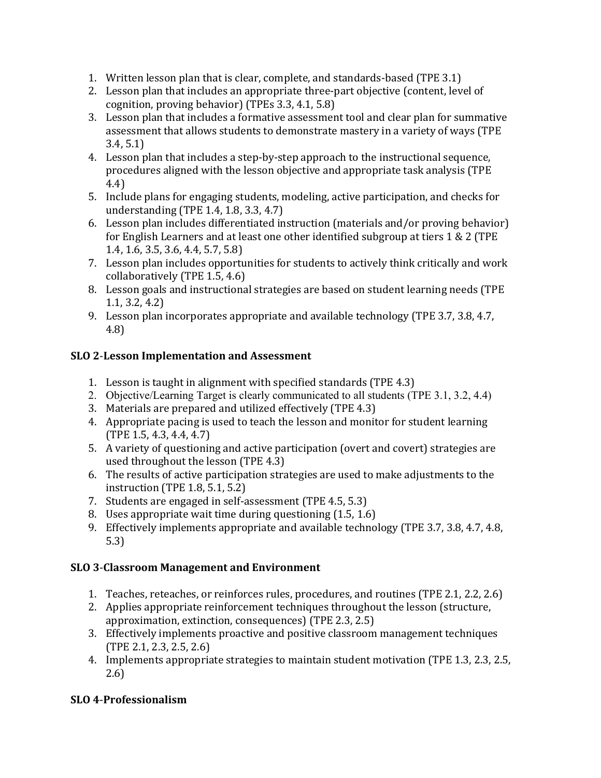- 1. Written lesson plan that is clear, complete, and standards-based (TPE 3.1)
- 2. Lesson plan that includes an appropriate three-part objective (content, level of cognition, proving behavior) (TPEs 3.3, 4.1, 5.8)
- 3. Lesson plan that includes a formative assessment tool and clear plan for summative assessment that allows students to demonstrate mastery in a variety of ways (TPE 3.4, 5.1)
- 4. Lesson plan that includes a step-by-step approach to the instructional sequence, procedures aligned with the lesson objective and appropriate task analysis (TPE 4.4)
- 5. Include plans for engaging students, modeling, active participation, and checks for understanding (TPE 1.4, 1.8, 3.3, 4.7)
- 6. Lesson plan includes differentiated instruction (materials and/or proving behavior) for English Learners and at least one other identified subgroup at tiers 1 & 2 (TPE 1.4, 1.6, 3.5, 3.6, 4.4, 5.7, 5.8)
- 7. Lesson plan includes opportunities for students to actively think critically and work collaboratively (TPE 1.5, 4.6)
- 8. Lesson goals and instructional strategies are based on student learning needs (TPE 1.1, 3.2, 4.2)
- 9. Lesson plan incorporates appropriate and available technology (TPE 3.7, 3.8, 4.7, 4.8)

# **SLO 2**-**Lesson Implementation and Assessment**

- 1. Lesson is taught in alignment with specified standards (TPE 4.3)
- 2. Objective/Learning Target is clearly communicated to all students (TPE 3.1, 3.2, 4.4)
- 3. Materials are prepared and utilized effectively (TPE 4.3)
- 4. Appropriate pacing is used to teach the lesson and monitor for student learning (TPE 1.5, 4.3, 4.4, 4.7)
- 5. A variety of questioning and active participation (overt and covert) strategies are used throughout the lesson (TPE 4.3)
- 6. The results of active participation strategies are used to make adjustments to the instruction (TPE 1.8, 5.1, 5.2)
- 7. Students are engaged in self-assessment (TPE 4.5, 5.3)
- 8. Uses appropriate wait time during questioning (1.5, 1.6)
- 9. Effectively implements appropriate and available technology (TPE 3.7, 3.8, 4.7, 4.8, 5.3)

### **SLO 3**-**Classroom Management and Environment**

- 1. Teaches, reteaches, or reinforces rules, procedures, and routines (TPE 2.1, 2.2, 2.6)
- 2. Applies appropriate reinforcement techniques throughout the lesson (structure, approximation, extinction, consequences) (TPE 2.3, 2.5)
- 3. Effectively implements proactive and positive classroom management techniques (TPE 2.1, 2.3, 2.5, 2.6)
- 4. Implements appropriate strategies to maintain student motivation (TPE 1.3, 2.3, 2.5, 2.6)

### **SLO 4**-**Professionalism**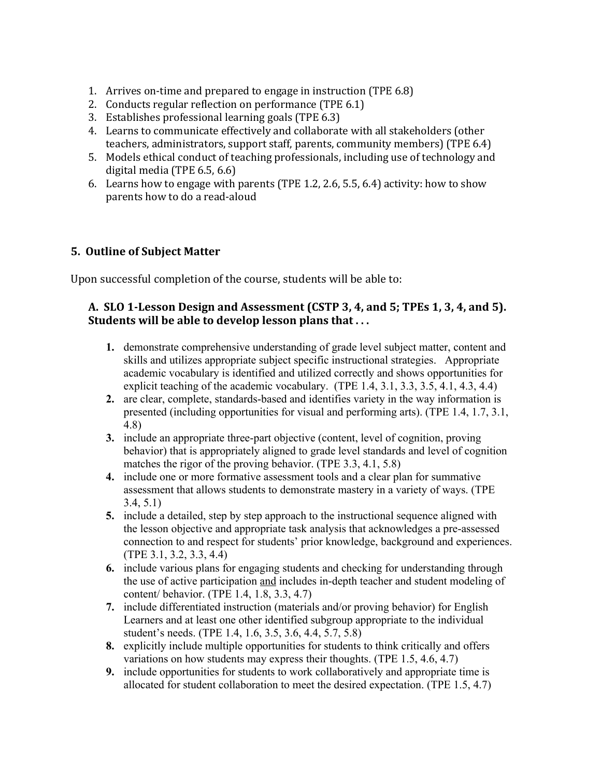- 1. Arrives on-time and prepared to engage in instruction (TPE 6.8)
- 2. Conducts regular reflection on performance (TPE 6.1)
- 3. Establishes professional learning goals (TPE 6.3)
- 4. Learns to communicate effectively and collaborate with all stakeholders (other teachers, administrators, support staff, parents, community members) (TPE 6.4)
- 5. Models ethical conduct of teaching professionals, including use of technology and digital media (TPE 6.5, 6.6)
- 6. Learns how to engage with parents (TPE 1.2, 2.6, 5.5, 6.4) activity: how to show parents how to do a read-aloud

### **5. Outline of Subject Matter**

Upon successful completion of the course, students will be able to:

### **A. SLO 1-Lesson Design and Assessment (CSTP 3, 4, and 5; TPEs 1, 3, 4, and 5). Students will be able to develop lesson plans that . . .**

- **1.** demonstrate comprehensive understanding of grade level subject matter, content and skills and utilizes appropriate subject specific instructional strategies. Appropriate academic vocabulary is identified and utilized correctly and shows opportunities for explicit teaching of the academic vocabulary. (TPE 1.4, 3.1, 3.3, 3.5, 4.1, 4.3, 4.4)
- **2.** are clear, complete, standards-based and identifies variety in the way information is presented (including opportunities for visual and performing arts). (TPE 1.4, 1.7, 3.1, 4.8)
- **3.** include an appropriate three-part objective (content, level of cognition, proving behavior) that is appropriately aligned to grade level standards and level of cognition matches the rigor of the proving behavior. (TPE 3.3, 4.1, 5.8)
- **4.** include one or more formative assessment tools and a clear plan for summative assessment that allows students to demonstrate mastery in a variety of ways. (TPE 3.4, 5.1)
- **5.** include a detailed, step by step approach to the instructional sequence aligned with the lesson objective and appropriate task analysis that acknowledges a pre-assessed connection to and respect for students' prior knowledge, background and experiences. (TPE 3.1, 3.2, 3.3, 4.4)
- **6.** include various plans for engaging students and checking for understanding through the use of active participation and includes in-depth teacher and student modeling of content/ behavior. (TPE 1.4, 1.8, 3.3, 4.7)
- **7.** include differentiated instruction (materials and/or proving behavior) for English Learners and at least one other identified subgroup appropriate to the individual student's needs. (TPE 1.4, 1.6, 3.5, 3.6, 4.4, 5.7, 5.8)
- **8.** explicitly include multiple opportunities for students to think critically and offers variations on how students may express their thoughts. (TPE 1.5, 4.6, 4.7)
- **9.** include opportunities for students to work collaboratively and appropriate time is allocated for student collaboration to meet the desired expectation. (TPE 1.5, 4.7)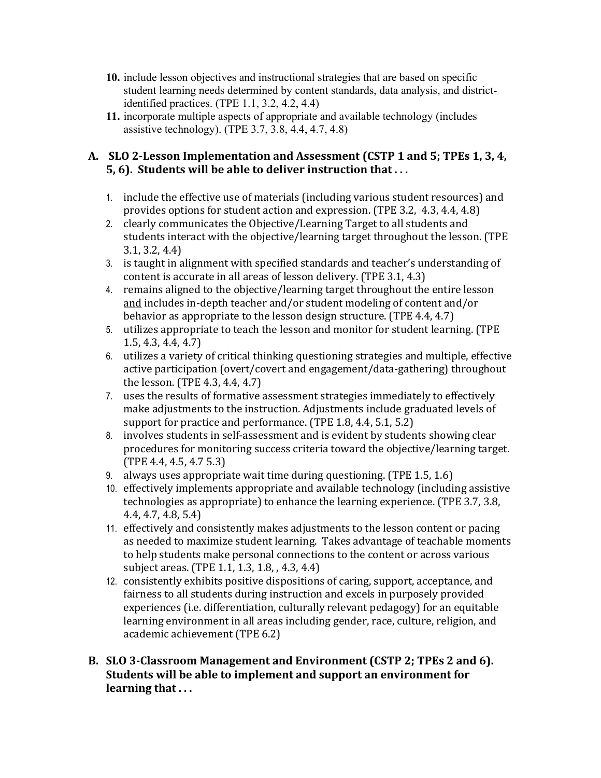- **10.** include lesson objectives and instructional strategies that are based on specific student learning needs determined by content standards, data analysis, and districtidentified practices. (TPE 1.1, 3.2, 4.2, 4.4)
- **11.** incorporate multiple aspects of appropriate and available technology (includes assistive technology). (TPE 3.7, 3.8, 4.4, 4.7, 4.8)

### **A. SLO 2-Lesson Implementation and Assessment (CSTP 1 and 5; TPEs 1, 3, 4, 5, 6). Students will be able to deliver instruction that . . .**

- 1. include the effective use of materials (including various student resources) and provides options for student action and expression. (TPE 3.2, 4.3, 4.4, 4.8)
- 2. clearly communicates the Objective/Learning Target to all students and students interact with the objective/learning target throughout the lesson. (TPE 3.1, 3.2, 4.4)
- 3. is taught in alignment with specified standards and teacher's understanding of content is accurate in all areas of lesson delivery. (TPE 3.1, 4.3)
- 4. remains aligned to the objective/learning target throughout the entire lesson and includes in-depth teacher and/or student modeling of content and/or behavior as appropriate to the lesson design structure. (TPE 4.4, 4.7)
- 5. utilizes appropriate to teach the lesson and monitor for student learning. (TPE 1.5, 4.3, 4.4, 4.7)
- 6. utilizes a variety of critical thinking questioning strategies and multiple, effective active participation (overt/covert and engagement/data-gathering) throughout the lesson. (TPE 4.3, 4.4, 4.7)
- 7. uses the results of formative assessment strategies immediately to effectively make adjustments to the instruction. Adjustments include graduated levels of support for practice and performance. (TPE 1.8, 4.4, 5.1, 5.2)
- 8. involves students in self-assessment and is evident by students showing clear procedures for monitoring success criteria toward the objective/learning target. (TPE 4.4, 4.5, 4.7 5.3)
- 9. always uses appropriate wait time during questioning. (TPE 1.5, 1.6)
- 10. effectively implements appropriate and available technology (including assistive technologies as appropriate) to enhance the learning experience. (TPE 3.7, 3.8, 4.4, 4.7, 4.8, 5.4)
- 11. effectively and consistently makes adjustments to the lesson content or pacing as needed to maximize student learning. Takes advantage of teachable moments to help students make personal connections to the content or across various subject areas. (TPE 1.1, 1.3, 1.8, , 4.3, 4.4)
- 12. consistently exhibits positive dispositions of caring, support, acceptance, and fairness to all students during instruction and excels in purposely provided experiences (i.e. differentiation, culturally relevant pedagogy) for an equitable learning environment in all areas including gender, race, culture, religion, and academic achievement (TPE 6.2)
- **B. SLO 3-Classroom Management and Environment (CSTP 2; TPEs 2 and 6). Students will be able to implement and support an environment for learning that . . .**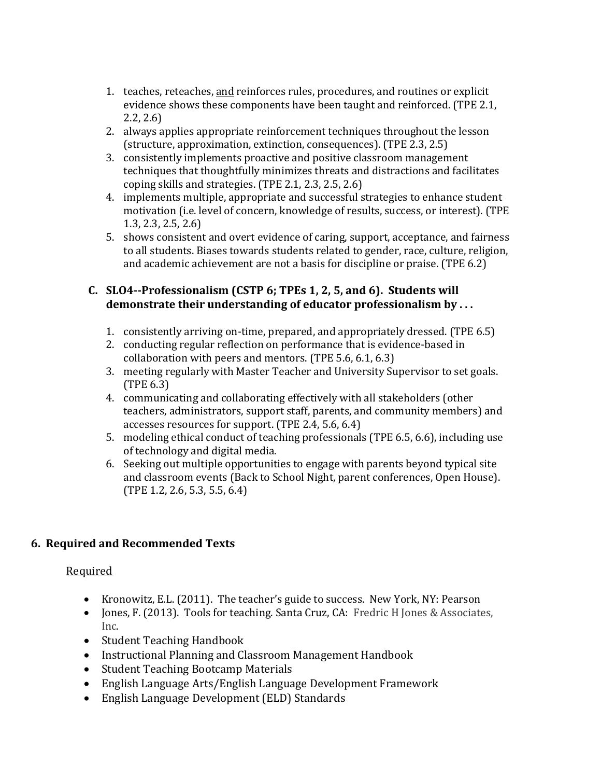- 1. teaches, reteaches, and reinforces rules, procedures, and routines or explicit evidence shows these components have been taught and reinforced. (TPE 2.1, 2.2, 2.6)
- 2. always applies appropriate reinforcement techniques throughout the lesson (structure, approximation, extinction, consequences). (TPE 2.3, 2.5)
- 3. consistently implements proactive and positive classroom management techniques that thoughtfully minimizes threats and distractions and facilitates coping skills and strategies. (TPE 2.1, 2.3, 2.5, 2.6)
- 4. implements multiple, appropriate and successful strategies to enhance student motivation (i.e. level of concern, knowledge of results, success, or interest). (TPE 1.3, 2.3, 2.5, 2.6)
- 5. shows consistent and overt evidence of caring, support, acceptance, and fairness to all students. Biases towards students related to gender, race, culture, religion, and academic achievement are not a basis for discipline or praise. (TPE 6.2)

### **C. SLO4--Professionalism (CSTP 6; TPEs 1, 2, 5, and 6). Students will demonstrate their understanding of educator professionalism by . . .**

- 1. consistently arriving on-time, prepared, and appropriately dressed. (TPE 6.5)
- 2. conducting regular reflection on performance that is evidence-based in collaboration with peers and mentors. (TPE 5.6, 6.1, 6.3)
- 3. meeting regularly with Master Teacher and University Supervisor to set goals. (TPE 6.3)
- 4. communicating and collaborating effectively with all stakeholders (other teachers, administrators, support staff, parents, and community members) and accesses resources for support. (TPE 2.4, 5.6, 6.4)
- 5. modeling ethical conduct of teaching professionals (TPE 6.5, 6.6), including use of technology and digital media.
- 6. Seeking out multiple opportunities to engage with parents beyond typical site and classroom events (Back to School Night, parent conferences, Open House). (TPE 1.2, 2.6, 5.3, 5.5, 6.4)

### **6. Required and Recommended Texts**

### Required

- Kronowitz, E.L. (2011). The teacher's guide to success. New York, NY: Pearson
- Jones, F. (2013). Tools for teaching. Santa Cruz, CA: Fredric H Jones & Associates, Inc.
- Student Teaching Handbook
- Instructional Planning and Classroom Management Handbook
- Student Teaching Bootcamp Materials
- English Language Arts/English Language Development Framework
- English Language Development (ELD) Standards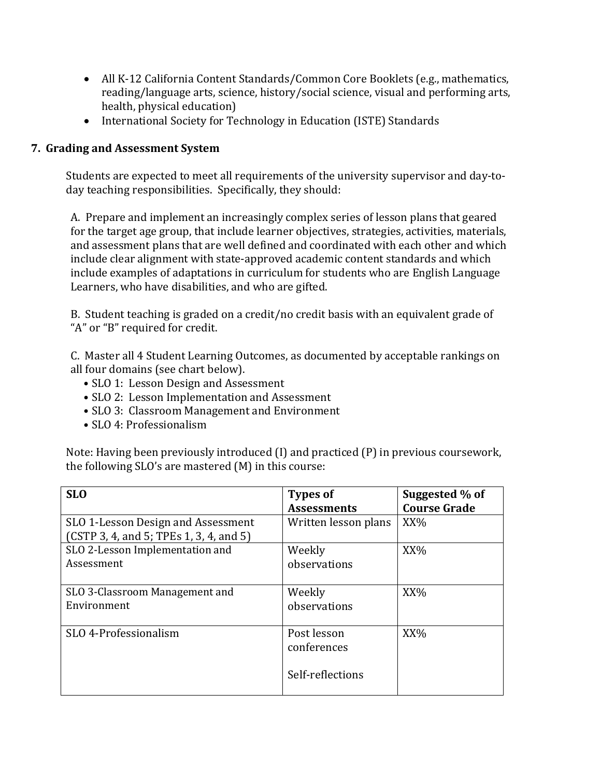- All K-12 California Content Standards/Common Core Booklets (e.g., mathematics, reading/language arts, science, history/social science, visual and performing arts, health, physical education)
- International Society for Technology in Education (ISTE) Standards

## **7. Grading and Assessment System**

Students are expected to meet all requirements of the university supervisor and day-today teaching responsibilities. Specifically, they should:

A. Prepare and implement an increasingly complex series of lesson plans that geared for the target age group, that include learner objectives, strategies, activities, materials, and assessment plans that are well defined and coordinated with each other and which include clear alignment with state-approved academic content standards and which include examples of adaptations in curriculum for students who are English Language Learners, who have disabilities, and who are gifted.

B. Student teaching is graded on a credit/no credit basis with an equivalent grade of "A" or "B" required for credit.

C. Master all 4 Student Learning Outcomes, as documented by acceptable rankings on all four domains (see chart below).

- SLO 1: Lesson Design and Assessment
- SLO 2: Lesson Implementation and Assessment
- SLO 3: Classroom Management and Environment
- SLO 4: Professionalism

Note: Having been previously introduced (I) and practiced (P) in previous coursework, the following SLO's are mastered (M) in this course:

| <b>SLO</b>                                                                    | <b>Types of</b><br><b>Assessments</b>          | Suggested % of<br><b>Course Grade</b> |
|-------------------------------------------------------------------------------|------------------------------------------------|---------------------------------------|
| SLO 1-Lesson Design and Assessment<br>(CSTP 3, 4, and 5; TPEs 1, 3, 4, and 5) | Written lesson plans                           | $XX\%$                                |
| SLO 2-Lesson Implementation and<br>Assessment                                 | Weekly<br>observations                         | XX%                                   |
| SLO 3-Classroom Management and<br>Environment                                 | Weekly<br>observations                         | XX%                                   |
| SLO 4-Professionalism                                                         | Post lesson<br>conferences<br>Self-reflections | $XX\%$                                |
|                                                                               |                                                |                                       |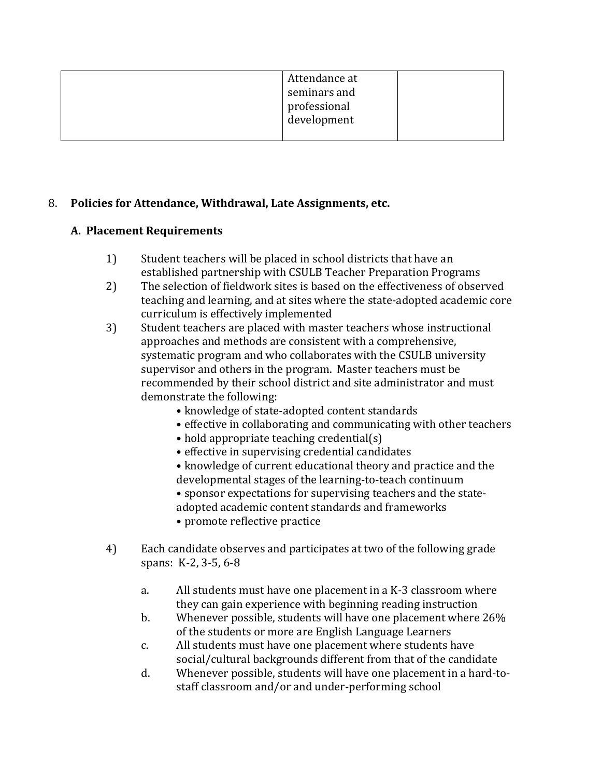| Attendance at<br>seminars and<br>professional<br>development |
|--------------------------------------------------------------|
|                                                              |

### 8. **Policies for Attendance, Withdrawal, Late Assignments, etc.**

### **A. Placement Requirements**

- 1) Student teachers will be placed in school districts that have an established partnership with CSULB Teacher Preparation Programs
- 2) The selection of fieldwork sites is based on the effectiveness of observed teaching and learning, and at sites where the state-adopted academic core curriculum is effectively implemented
- 3) Student teachers are placed with master teachers whose instructional approaches and methods are consistent with a comprehensive, systematic program and who collaborates with the CSULB university supervisor and others in the program. Master teachers must be recommended by their school district and site administrator and must demonstrate the following:
	- knowledge of state-adopted content standards
	- effective in collaborating and communicating with other teachers
	- hold appropriate teaching credential(s)
	- effective in supervising credential candidates
	- knowledge of current educational theory and practice and the developmental stages of the learning-to-teach continuum
	- sponsor expectations for supervising teachers and the stateadopted academic content standards and frameworks
	- promote reflective practice
- 4) Each candidate observes and participates at two of the following grade spans: K-2, 3-5, 6-8
	- a. All students must have one placement in a K-3 classroom where they can gain experience with beginning reading instruction
	- b. Whenever possible, students will have one placement where 26% of the students or more are English Language Learners
	- c. All students must have one placement where students have social/cultural backgrounds different from that of the candidate
	- d. Whenever possible, students will have one placement in a hard-tostaff classroom and/or and under-performing school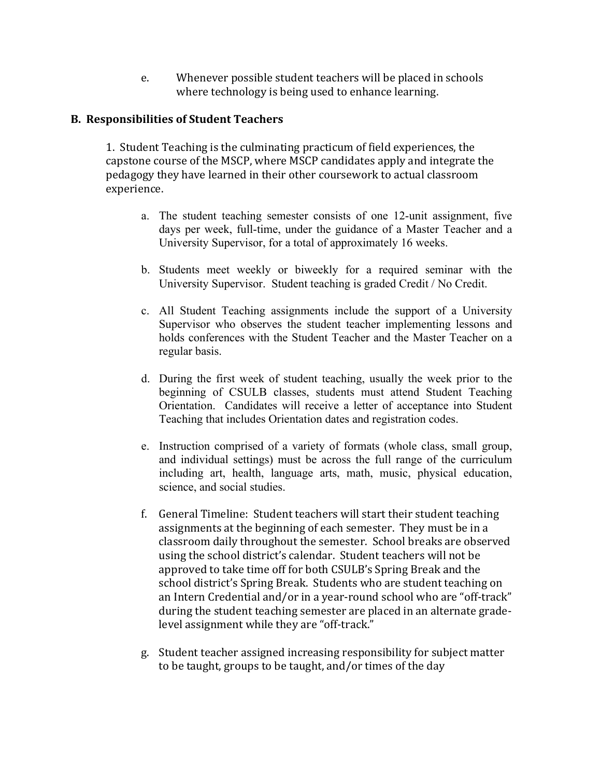e. Whenever possible student teachers will be placed in schools where technology is being used to enhance learning.

### **B. Responsibilities of Student Teachers**

1. Student Teaching is the culminating practicum of field experiences, the capstone course of the MSCP, where MSCP candidates apply and integrate the pedagogy they have learned in their other coursework to actual classroom experience.

- a. The student teaching semester consists of one 12-unit assignment, five days per week, full-time, under the guidance of a Master Teacher and a University Supervisor, for a total of approximately 16 weeks.
- b. Students meet weekly or biweekly for a required seminar with the University Supervisor. Student teaching is graded Credit / No Credit.
- c. All Student Teaching assignments include the support of a University Supervisor who observes the student teacher implementing lessons and holds conferences with the Student Teacher and the Master Teacher on a regular basis.
- d. During the first week of student teaching, usually the week prior to the beginning of CSULB classes, students must attend Student Teaching Orientation. Candidates will receive a letter of acceptance into Student Teaching that includes Orientation dates and registration codes.
- e. Instruction comprised of a variety of formats (whole class, small group, and individual settings) must be across the full range of the curriculum including art, health, language arts, math, music, physical education, science, and social studies.
- f. General Timeline: Student teachers will start their student teaching assignments at the beginning of each semester. They must be in a classroom daily throughout the semester. School breaks are observed using the school district's calendar. Student teachers will not be approved to take time off for both CSULB's Spring Break and the school district's Spring Break. Students who are student teaching on an Intern Credential and/or in a year-round school who are "off-track" during the student teaching semester are placed in an alternate gradelevel assignment while they are "off-track."
- g. Student teacher assigned increasing responsibility for subject matter to be taught, groups to be taught, and/or times of the day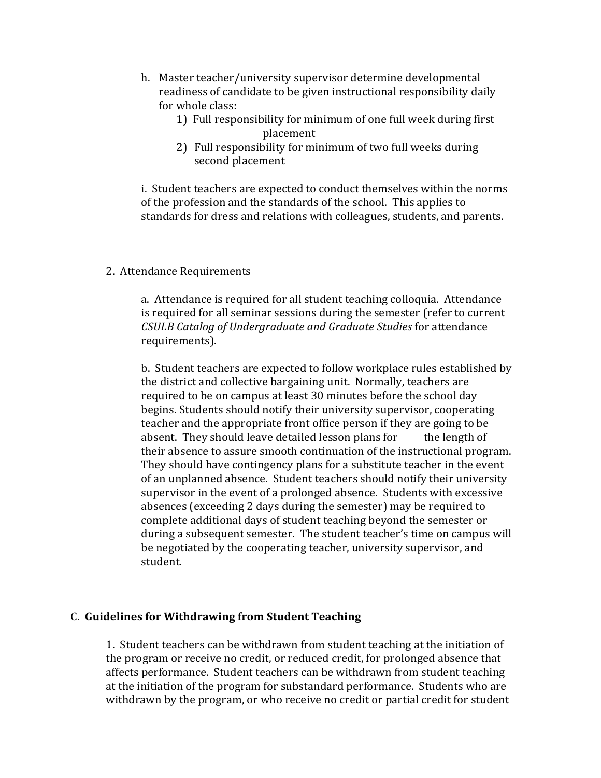- h. Master teacher/university supervisor determine developmental readiness of candidate to be given instructional responsibility daily for whole class:
	- 1) Full responsibility for minimum of one full week during first placement
	- 2) Full responsibility for minimum of two full weeks during second placement

i. Student teachers are expected to conduct themselves within the norms of the profession and the standards of the school. This applies to standards for dress and relations with colleagues, students, and parents.

#### 2. Attendance Requirements

a. Attendance is required for all student teaching colloquia. Attendance is required for all seminar sessions during the semester (refer to current *CSULB Catalog of Undergraduate and Graduate Studies* for attendance requirements).

b. Student teachers are expected to follow workplace rules established by the district and collective bargaining unit. Normally, teachers are required to be on campus at least 30 minutes before the school day begins. Students should notify their university supervisor, cooperating teacher and the appropriate front office person if they are going to be absent. They should leave detailed lesson plans for the length of absent. They should leave detailed lesson plans for their absence to assure smooth continuation of the instructional program. They should have contingency plans for a substitute teacher in the event of an unplanned absence. Student teachers should notify their university supervisor in the event of a prolonged absence. Students with excessive absences (exceeding 2 days during the semester) may be required to complete additional days of student teaching beyond the semester or during a subsequent semester. The student teacher's time on campus will be negotiated by the cooperating teacher, university supervisor, and student.

### C. **Guidelines for Withdrawing from Student Teaching**

1. Student teachers can be withdrawn from student teaching at the initiation of the program or receive no credit, or reduced credit, for prolonged absence that affects performance. Student teachers can be withdrawn from student teaching at the initiation of the program for substandard performance. Students who are withdrawn by the program, or who receive no credit or partial credit for student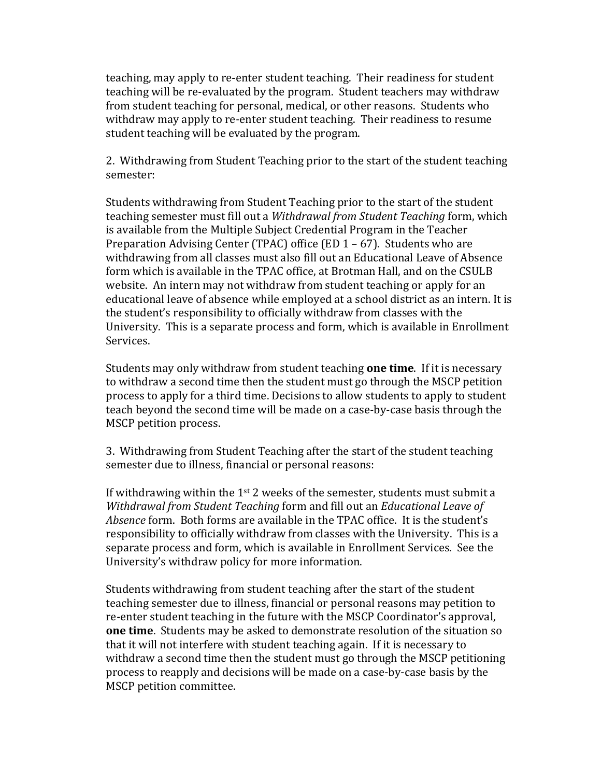teaching, may apply to re-enter student teaching. Their readiness for student teaching will be re-evaluated by the program. Student teachers may withdraw from student teaching for personal, medical, or other reasons. Students who withdraw may apply to re-enter student teaching. Their readiness to resume student teaching will be evaluated by the program.

2. Withdrawing from Student Teaching prior to the start of the student teaching semester:

Students withdrawing from Student Teaching prior to the start of the student teaching semester must fill out a *Withdrawal from Student Teaching* form, which is available from the Multiple Subject Credential Program in the Teacher Preparation Advising Center (TPAC) office (ED 1 – 67). Students who are withdrawing from all classes must also fill out an Educational Leave of Absence form which is available in the TPAC office, at Brotman Hall, and on the CSULB website. An intern may not withdraw from student teaching or apply for an educational leave of absence while employed at a school district as an intern. It is the student's responsibility to officially withdraw from classes with the University. This is a separate process and form, which is available in Enrollment Services.

Students may only withdraw from student teaching **one time**. If it is necessary to withdraw a second time then the student must go through the MSCP petition process to apply for a third time. Decisions to allow students to apply to student teach beyond the second time will be made on a case-by-case basis through the MSCP petition process.

3. Withdrawing from Student Teaching after the start of the student teaching semester due to illness, financial or personal reasons:

If withdrawing within the  $1<sup>st</sup>$  2 weeks of the semester, students must submit a *Withdrawal from Student Teaching* form and fill out an *Educational Leave of Absence* form. Both forms are available in the TPAC office. It is the student's responsibility to officially withdraw from classes with the University. This is a separate process and form, which is available in Enrollment Services. See the University's withdraw policy for more information.

Students withdrawing from student teaching after the start of the student teaching semester due to illness, financial or personal reasons may petition to re-enter student teaching in the future with the MSCP Coordinator's approval, **one time**. Students may be asked to demonstrate resolution of the situation so that it will not interfere with student teaching again. If it is necessary to withdraw a second time then the student must go through the MSCP petitioning process to reapply and decisions will be made on a case-by-case basis by the MSCP petition committee.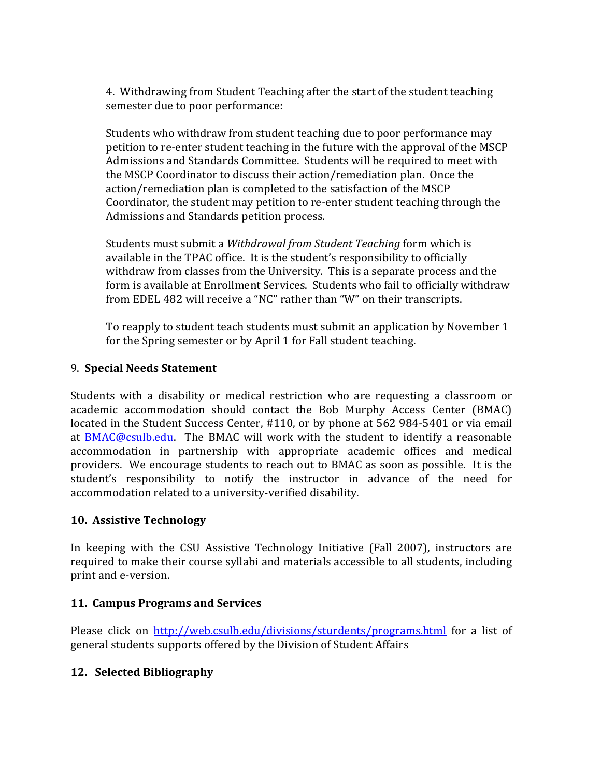4. Withdrawing from Student Teaching after the start of the student teaching semester due to poor performance:

Students who withdraw from student teaching due to poor performance may petition to re-enter student teaching in the future with the approval of the MSCP Admissions and Standards Committee. Students will be required to meet with the MSCP Coordinator to discuss their action/remediation plan. Once the action/remediation plan is completed to the satisfaction of the MSCP Coordinator, the student may petition to re-enter student teaching through the Admissions and Standards petition process.

Students must submit a *Withdrawal from Student Teaching* form which is available in the TPAC office. It is the student's responsibility to officially withdraw from classes from the University. This is a separate process and the form is available at Enrollment Services. Students who fail to officially withdraw from EDEL 482 will receive a "NC" rather than "W" on their transcripts.

To reapply to student teach students must submit an application by November 1 for the Spring semester or by April 1 for Fall student teaching.

### 9. **Special Needs Statement**

Students with a disability or medical restriction who are requesting a classroom or academic accommodation should contact the Bob Murphy Access Center (BMAC) located in the Student Success Center, #110, or by phone at 562 984-5401 or via email at **BMAC@csulb.edu.** The BMAC will work with the student to identify a reasonable accommodation in partnership with appropriate academic offices and medical providers. We encourage students to reach out to BMAC as soon as possible. It is the student's responsibility to notify the instructor in advance of the need for accommodation related to a university-verified disability.

### **10. Assistive Technology**

In keeping with the CSU Assistive Technology Initiative (Fall 2007), instructors are required to make their course syllabi and materials accessible to all students, including print and e-version.

### **11. Campus Programs and Services**

Please click on<http://web.csulb.edu/divisions/sturdents/programs.html> for a list of general students supports offered by the Division of Student Affairs

### **12. Selected Bibliography**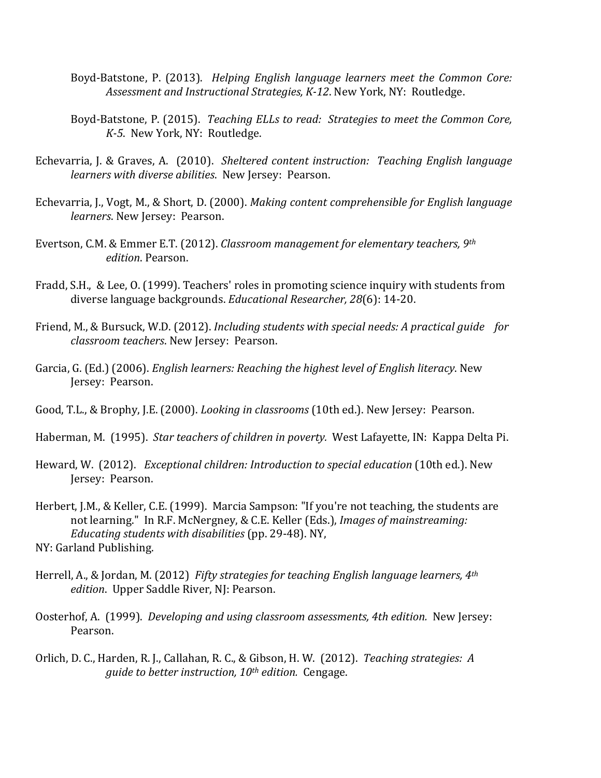- Boyd-Batstone, P. (2013). *Helping English language learners meet the Common Core: Assessment and Instructional Strategies, K-12*. New York, NY: Routledge.
- Boyd-Batstone, P. (2015). *Teaching ELLs to read: Strategies to meet the Common Core, K-5*. New York, NY: Routledge.
- Echevarria, J. & Graves, A. (2010). *Sheltered content instruction: Teaching English language learners with diverse abilities*. New Jersey: Pearson.
- Echevarria, J., Vogt, M., & Short, D. (2000). *Making content comprehensible for English language learners*. New Jersey: Pearson.
- Evertson, C.M. & Emmer E.T. (2012). *Classroom management for elementary teachers, 9th edition*. Pearson.
- Fradd, S.H., & Lee, O. (1999). Teachers' roles in promoting science inquiry with students from diverse language backgrounds. *Educational Researcher, 28*(6): 14-20.
- Friend, M., & Bursuck, W.D. (2012). *Including students with special needs: A practical guide for classroom teachers*. New Jersey: Pearson.
- Garcia, G. (Ed.) (2006). *English learners: Reaching the highest level of English literacy*. New Jersey: Pearson.
- Good, T.L., & Brophy, J.E. (2000). *Looking in classrooms* (10th ed.). New Jersey: Pearson.
- Haberman, M. (1995). *Star teachers of children in poverty.* West Lafayette, IN: Kappa Delta Pi.
- Heward, W. (2012). *Exceptional children: Introduction to special education* (10th ed.). New Jersey: Pearson.
- Herbert, J.M., & Keller, C.E. (1999). Marcia Sampson: "If you're not teaching, the students are not learning." In R.F. McNergney, & C.E. Keller (Eds.), *Images of mainstreaming: Educating students with disabilities* (pp. 29-48). NY, NY: Garland Publishing.
- Herrell, A., & Jordan, M. (2012) *Fifty strategies for teaching English language learners, 4th edition*. Upper Saddle River, NJ: Pearson.
- Oosterhof, A. (1999). *Developing and using classroom assessments, 4th edition.* New Jersey: Pearson.
- Orlich, D. C., Harden, R. J., Callahan, R. C., & Gibson, H. W. (2012). *Teaching strategies: A guide to better instruction, 10th edition.* Cengage.